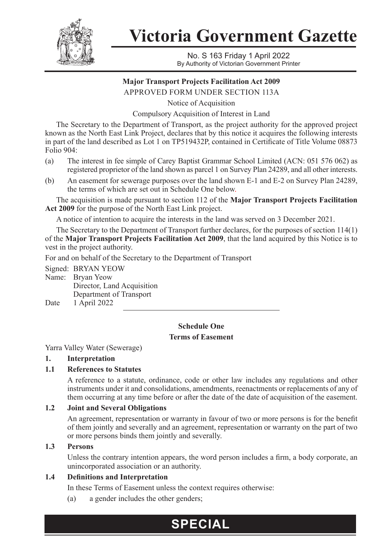

**Victoria Government Gazette**

No. S 163 Friday 1 April 2022 By Authority of Victorian Government Printer

# **Major Transport Projects Facilitation Act 2009**

APPROVED FORM UNDER SECTION 113A

Notice of Acquisition

Compulsory Acquisition of Interest in Land

The Secretary to the Department of Transport, as the project authority for the approved project known as the North East Link Project, declares that by this notice it acquires the following interests in part of the land described as Lot 1 on TP519432P, contained in Certificate of Title Volume 08873 Folio 904:

- (a) The interest in fee simple of Carey Baptist Grammar School Limited (ACN: 051 576 062) as registered proprietor of the land shown as parcel 1 on Survey Plan 24289, and all other interests.
- (b) An easement for sewerage purposes over the land shown E-1 and E-2 on Survey Plan 24289, the terms of which are set out in Schedule One below.

The acquisition is made pursuant to section 112 of the **Major Transport Projects Facilitation Act 2009** for the purpose of the North East Link project.

A notice of intention to acquire the interests in the land was served on 3 December 2021.

The Secretary to the Department of Transport further declares, for the purposes of section 114(1) of the **Major Transport Projects Facilitation Act 2009**, that the land acquired by this Notice is to vest in the project authority.

For and on behalf of the Secretary to the Department of Transport

Signed: BRYAN YEOW

Name: Bryan Yeow Director, Land Acquisition Department of Transport Date 1 April 2022

## **Schedule One Terms of Easement**

Yarra Valley Water (Sewerage)

# **1. Interpretation**

# **1.1 References to Statutes**

A reference to a statute, ordinance, code or other law includes any regulations and other instruments under it and consolidations, amendments, reenactments or replacements of any of them occurring at any time before or after the date of the date of acquisition of the easement.

# **1.2 Joint and Several Obligations**

An agreement, representation or warranty in favour of two or more persons is for the benefit of them jointly and severally and an agreement, representation or warranty on the part of two or more persons binds them jointly and severally.

# **1.3 Persons**

Unless the contrary intention appears, the word person includes a firm, a body corporate, an unincorporated association or an authority.

# **1.4 Definitions and Interpretation**

In these Terms of Easement unless the context requires otherwise:

(a) a gender includes the other genders;

# **SPECIAL**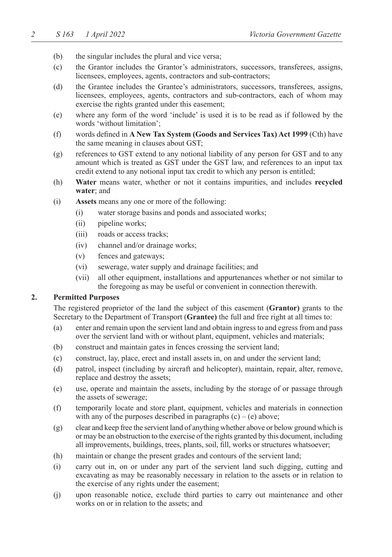- (b) the singular includes the plural and vice versa;
- (c) the Grantor includes the Grantor's administrators, successors, transferees, assigns, licensees, employees, agents, contractors and sub-contractors;
- (d) the Grantee includes the Grantee's administrators, successors, transferees, assigns, licensees, employees, agents, contractors and sub-contractors, each of whom may exercise the rights granted under this easement;
- (e) where any form of the word 'include' is used it is to be read as if followed by the words 'without limitation';
- (f) words defined in **A New Tax System (Goods and Services Tax) Act 1999** (Cth) have the same meaning in clauses about GST;
- (g) references to GST extend to any notional liability of any person for GST and to any amount which is treated as GST under the GST law, and references to an input tax credit extend to any notional input tax credit to which any person is entitled;
- (h) **Water** means water, whether or not it contains impurities, and includes **recycled water**; and
- (i) **Assets** means any one or more of the following:
	- (i) water storage basins and ponds and associated works;
	- (ii) pipeline works;
	- (iii) roads or access tracks;
	- (iv) channel and/or drainage works;
	- (v) fences and gateways;
	- (vi) sewerage, water supply and drainage facilities; and
	- (vii) all other equipment, installations and appurtenances whether or not similar to the foregoing as may be useful or convenient in connection therewith.

#### **2. Permitted Purposes**

The registered proprietor of the land the subject of this easement (**Grantor)** grants to the Secretary to the Department of Transport (**Grantee)** the full and free right at all times to:

- (a) enter and remain upon the servient land and obtain ingress to and egress from and pass over the servient land with or without plant, equipment, vehicles and materials;
- (b) construct and maintain gates in fences crossing the servient land;
- (c) construct, lay, place, erect and install assets in, on and under the servient land;
- (d) patrol, inspect (including by aircraft and helicopter), maintain, repair, alter, remove, replace and destroy the assets;
- (e) use, operate and maintain the assets, including by the storage of or passage through the assets of sewerage;
- (f) temporarily locate and store plant, equipment, vehicles and materials in connection with any of the purposes described in paragraphs  $(c) - (e)$  above;
- (g) clear and keep free the servient land of anything whether above or below ground which is or may be an obstruction to the exercise of the rights granted by this document, including all improvements, buildings, trees, plants, soil, fill, works or structures whatsoever;
- (h) maintain or change the present grades and contours of the servient land;
- (i) carry out in, on or under any part of the servient land such digging, cutting and excavating as may be reasonably necessary in relation to the assets or in relation to the exercise of any rights under the easement;
- (j) upon reasonable notice, exclude third parties to carry out maintenance and other works on or in relation to the assets; and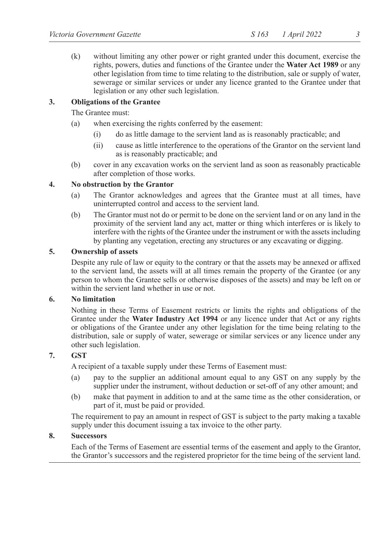(k) without limiting any other power or right granted under this document, exercise the rights, powers, duties and functions of the Grantee under the **Water Act 1989** or any other legislation from time to time relating to the distribution, sale or supply of water, sewerage or similar services or under any licence granted to the Grantee under that legislation or any other such legislation.

# **3. Obligations of the Grantee**

The Grantee must:

- (a) when exercising the rights conferred by the easement:
	- (i) do as little damage to the servient land as is reasonably practicable; and
	- (ii) cause as little interference to the operations of the Grantor on the servient land as is reasonably practicable; and
- (b) cover in any excavation works on the servient land as soon as reasonably practicable after completion of those works.

#### **4. No obstruction by the Grantor**

- (a) The Grantor acknowledges and agrees that the Grantee must at all times, have uninterrupted control and access to the servient land.
- (b) The Grantor must not do or permit to be done on the servient land or on any land in the proximity of the servient land any act, matter or thing which interferes or is likely to interfere with the rights of the Grantee under the instrument or with the assets including by planting any vegetation, erecting any structures or any excavating or digging.

#### **5. Ownership of assets**

Despite any rule of law or equity to the contrary or that the assets may be annexed or affixed to the servient land, the assets will at all times remain the property of the Grantee (or any person to whom the Grantee sells or otherwise disposes of the assets) and may be left on or within the servient land whether in use or not.

#### **6. No limitation**

Nothing in these Terms of Easement restricts or limits the rights and obligations of the Grantee under the **Water Industry Act 1994** or any licence under that Act or any rights or obligations of the Grantee under any other legislation for the time being relating to the distribution, sale or supply of water, sewerage or similar services or any licence under any other such legislation.

# **7. GST**

A recipient of a taxable supply under these Terms of Easement must:

- (a) pay to the supplier an additional amount equal to any GST on any supply by the supplier under the instrument, without deduction or set-off of any other amount; and
- (b) make that payment in addition to and at the same time as the other consideration, or part of it, must be paid or provided.

The requirement to pay an amount in respect of GST is subject to the party making a taxable supply under this document issuing a tax invoice to the other party.

# **8. Successors**

Each of the Terms of Easement are essential terms of the easement and apply to the Grantor, the Grantor's successors and the registered proprietor for the time being of the servient land.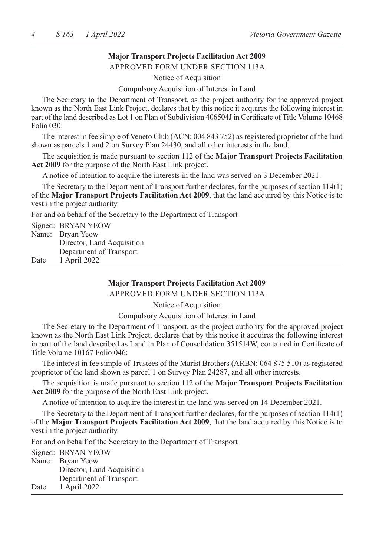# **Major Transport Projects Facilitation Act 2009**  APPROVED FORM UNDER SECTION 113A

Notice of Acquisition

Compulsory Acquisition of Interest in Land

The Secretary to the Department of Transport, as the project authority for the approved project known as the North East Link Project, declares that by this notice it acquires the following interest in part of the land described as Lot 1 on Plan of Subdivision 406504J in Certificate of Title Volume 10468 Folio 030:

The interest in fee simple of Veneto Club (ACN: 004 843 752) as registered proprietor of the land shown as parcels 1 and 2 on Survey Plan 24430, and all other interests in the land.

The acquisition is made pursuant to section 112 of the **Major Transport Projects Facilitation Act 2009** for the purpose of the North East Link project.

A notice of intention to acquire the interests in the land was served on 3 December 2021.

The Secretary to the Department of Transport further declares, for the purposes of section 114(1) of the **Major Transport Projects Facilitation Act 2009**, that the land acquired by this Notice is to vest in the project authority.

For and on behalf of the Secretary to the Department of Transport

Signed: BRYAN YEOW Name: Bryan Yeow Director, Land Acquisition Department of Transport Date 1 April 2022

#### **Major Transport Projects Facilitation Act 2009**

APPROVED FORM UNDER SECTION 113A

Notice of Acquisition

#### Compulsory Acquisition of Interest in Land

The Secretary to the Department of Transport, as the project authority for the approved project known as the North East Link Project, declares that by this notice it acquires the following interest in part of the land described as Land in Plan of Consolidation 351514W, contained in Certificate of Title Volume 10167 Folio 046:

The interest in fee simple of Trustees of the Marist Brothers (ARBN: 064 875 510) as registered proprietor of the land shown as parcel 1 on Survey Plan 24287, and all other interests.

The acquisition is made pursuant to section 112 of the **Major Transport Projects Facilitation Act 2009** for the purpose of the North East Link project.

A notice of intention to acquire the interest in the land was served on 14 December 2021.

The Secretary to the Department of Transport further declares, for the purposes of section 114(1) of the **Major Transport Projects Facilitation Act 2009**, that the land acquired by this Notice is to vest in the project authority.

For and on behalf of the Secretary to the Department of Transport

Signed: BRYAN YEOW Name: Bryan Yeow Director, Land Acquisition Department of Transport Date 1 April 2022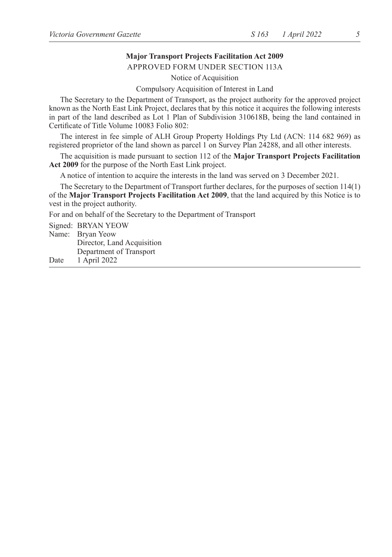# **Major Transport Projects Facilitation Act 2009**  APPROVED FORM UNDER SECTION 113A

Notice of Acquisition Compulsory Acquisition of Interest in Land

The Secretary to the Department of Transport, as the project authority for the approved project known as the North East Link Project, declares that by this notice it acquires the following interests in part of the land described as Lot 1 Plan of Subdivision 310618B, being the land contained in Certificate of Title Volume 10083 Folio 802:

The interest in fee simple of ALH Group Property Holdings Pty Ltd (ACN: 114 682 969) as registered proprietor of the land shown as parcel 1 on Survey Plan 24288, and all other interests.

The acquisition is made pursuant to section 112 of the **Major Transport Projects Facilitation Act 2009** for the purpose of the North East Link project.

A notice of intention to acquire the interests in the land was served on 3 December 2021.

The Secretary to the Department of Transport further declares, for the purposes of section 114(1) of the **Major Transport Projects Facilitation Act 2009**, that the land acquired by this Notice is to vest in the project authority.

For and on behalf of the Secretary to the Department of Transport

Signed: BRYAN YEOW

Name: Bryan Yeow Director, Land Acquisition Department of Transport Date 1 April 2022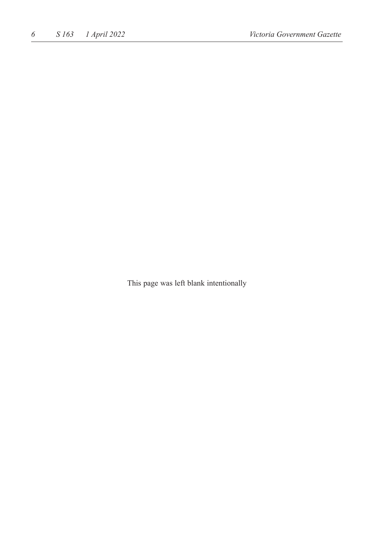This page was left blank intentionally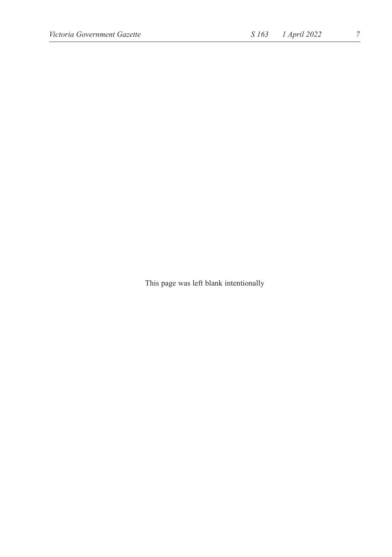This page was left blank intentionally